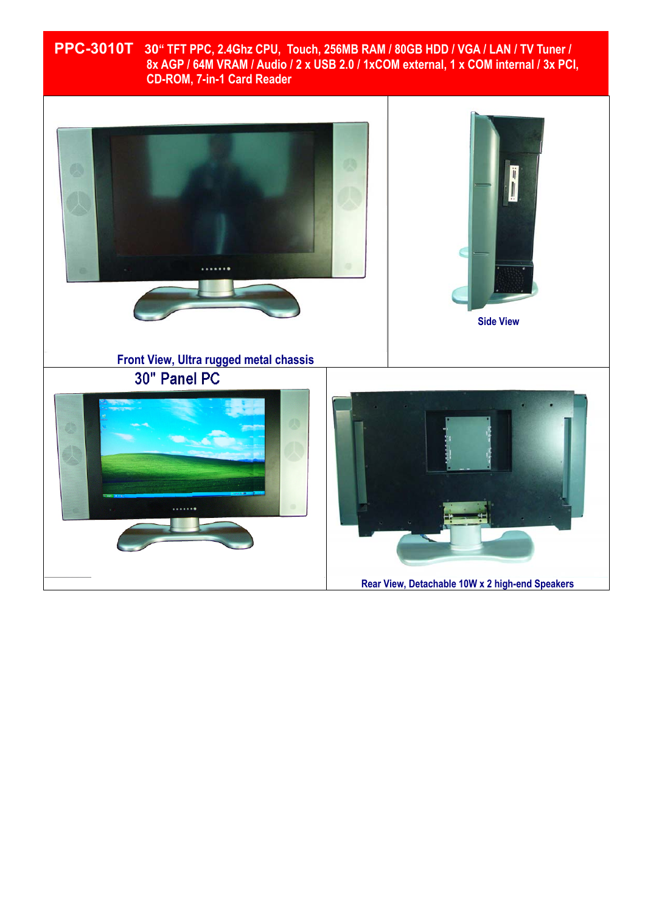# **PPC-3010T 30" TFT PPC, 2.4Ghz CPU, Touch, 256MB RAM / 80GB HDD / VGA / LAN / TV Tuner / 8x AGP / 64M VRAM / Audio / 2 x USB 2.0 / 1xCOM external, 1 x COM internal / 3x PCI, CD-ROM, 7-in-1 Card Reader**

ī

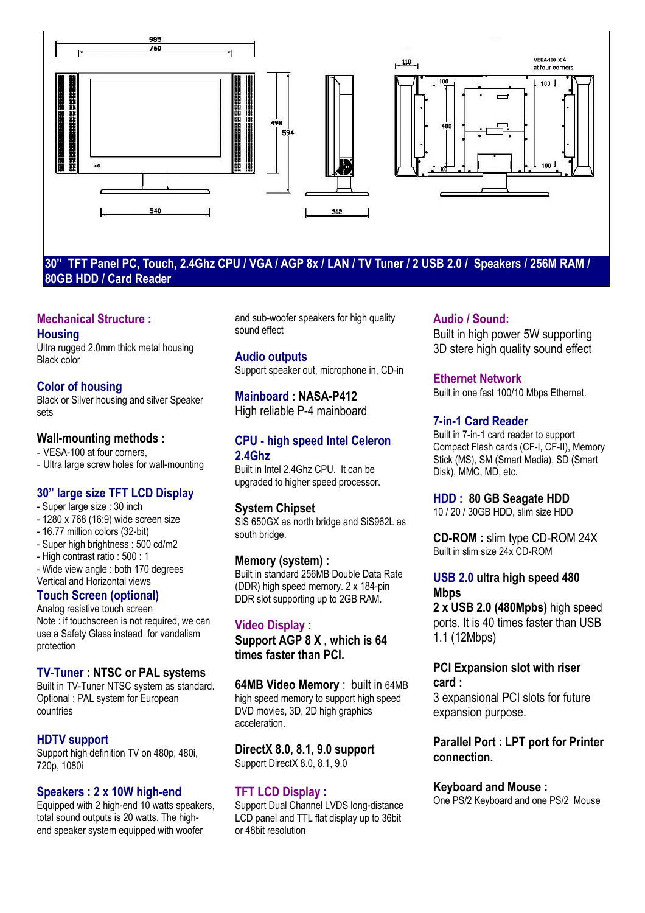

#### **30" TFT Panel PC, Touch, 2.4Ghz CPU / VGA / AGP 8x / LAN / TV Tuner / 2 USB 2.0 / Speakers / 256M RAM / 80GB HDD / Card Reader**

#### **Mechanical Structure : Housing**

Ultra rugged 2.0mm thick metal housing Black color

# **Color of housing**

Black or Silver housing and silver Speaker sets

### **Wall-mounting methods :**

- VESA-100 at four corners,

- Ultra large screw holes for wall-mounting

## **30" large size TFT LCD Display**

- Super large size : 30 inch
- 1280 x 768 (16:9) wide screen size
- 16.77 million colors (32-bit)
- Super high brightness : 500 cd/m2
- High contrast ratio : 500 : 1

- Wide view angle : both 170 degrees Vertical and Horizontal views

## **Touch Screen (optional)**

Analog resistive touch screen Note : if touchscreen is not required, we can use a Safety Glass instead for vandalism protection

### **TV-Tuner : NTSC or PAL systems**

Built in TV-Tuner NTSC system as standard. Optional : PAL system for European countries

## **HDTV support**

Support high definition TV on 480p, 480i, 720p, 1080i

### **Speakers : 2 x 10W high-end**

Equipped with 2 high-end 10 watts speakers. total sound outputs is 20 watts. The highend speaker system equipped with woofer

and sub-woofer speakers for high quality sound effect

**Audio outputs**  Support speaker out, microphone in, CD-in

**Mainboard : NASA-P412**  High reliable P-4 mainboard

### **CPU - high speed Intel Celeron 2.4Ghz**

Built in Intel 2.4Ghz CPU. It can be upgraded to higher speed processor.

### **System Chipset**

SiS 650GX as north bridge and SiS962L as south bridge.

### **Memory (system) :**

Built in standard 256MB Double Data Rate (DDR) high speed memory. 2 x 184-pin DDR slot supporting up to 2GB RAM.

### **Video Display :**

**Support AGP 8 X , which is 64 times faster than PCI.** 

**64MB Video Memory** : built in 64MB high speed memory to support high speed DVD movies, 3D, 2D high graphics acceleration.

#### **DirectX 8.0, 8.1, 9.0 support**  Support DirectX 8.0, 8.1, 9.0

### **TFT LCD Display :**

Support Dual Channel LVDS long-distance LCD panel and TTL flat display up to 36bit or 48bit resolution

#### **Audio / Sound:**

Built in high power 5W supporting 3D stere high quality sound effect

### **Ethernet Network**

Built in one fast 100/10 Mbps Ethernet.

### **7-in-1 Card Reader**

Built in 7-in-1 card reader to support Compact Flash cards (CF-I, CF-II), Memory Stick (MS), SM (Smart Media), SD (Smart Disk), MMC, MD, etc.

**HDD : 80 GB Seagate HDD** 

10 / 20 / 30GB HDD, slim size HDD

**CD-ROM :** slim type CD-ROM 24X Built in slim size 24x CD-ROM

### **USB 2.0 ultra high speed 480 Mbps**

**2 x USB 2.0 (480Mpbs)** high speed ports. It is 40 times faster than USB 1.1 (12Mbps)

#### **PCI Expansion slot with riser card :**

3 expansional PCI slots for future expansion purpose.

## **Parallel Port : LPT port for Printer connection.**

**Keyboard and Mouse :** 

One PS/2 Keyboard and one PS/2 Mouse